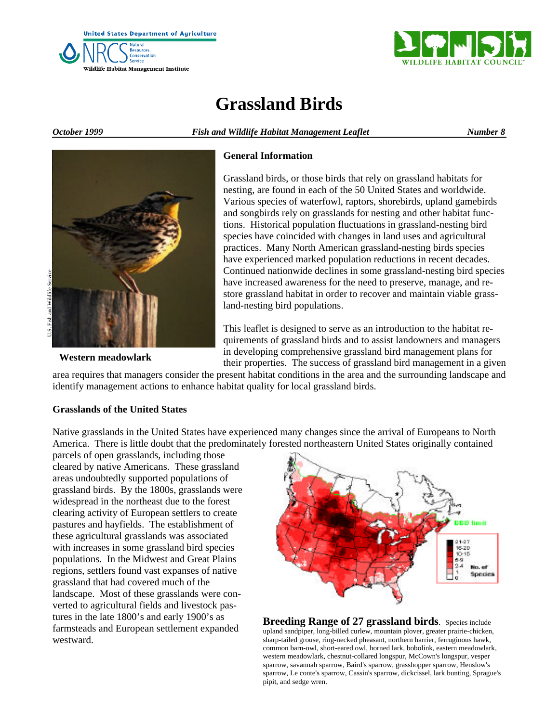



# **Grassland Birds**

*October 1999* Fish and Wildlife Habitat Management Leaflet Number 8 Number 8 **Number** 8



# **General Information**

Grassland birds, or those birds that rely on grassland habitats for nesting, are found in each of the 50 United States and worldwide. Various species of waterfowl, raptors, shorebirds, upland gamebirds and songbirds rely on grasslands for nesting and other habitat functions. Historical population fluctuations in grassland-nesting bird species have coincided with changes in land uses and agricultural practices. Many North American grassland-nesting birds species have experienced marked population reductions in recent decades. Continued nationwide declines in some grassland-nesting bird species have increased awareness for the need to preserve, manage, and restore grassland habitat in order to recover and maintain viable grassland-nesting bird populations.

This leaflet is designed to serve as an introduction to the habitat requirements of grassland birds and to assist landowners and managers **in developing comprehensive grassland bird management plans for**  $\overline{\text{Western} \text{ meadowlark}}}$ their properties. The success of grassland bird management in a given

area requires that managers consider the present habitat conditions in the area and the surrounding landscape and identify management actions to enhance habitat quality for local grassland birds.

# **Grasslands of the United States**

Native grasslands in the United States have experienced many changes since the arrival of Europeans to North America. There is little doubt that the predominately forested northeastern United States originally contained

parcels of open grasslands, including those cleared by native Americans. These grassland areas undoubtedly supported populations of grassland birds. By the 1800s, grasslands were widespread in the northeast due to the forest clearing activity of European settlers to create pastures and hayfields. The establishment of these agricultural grasslands was associated with increases in some grassland bird species populations. In the Midwest and Great Plains regions, settlers found vast expanses of native grassland that had covered much of the landscape. Most of these grasslands were converted to agricultural fields and livestock pastures in the late 1800's and early 1900's as farmsteads and European settlement expanded westward.



**Breeding Range of 27 grassland birds**. Species include upland sandpiper, long-billed curlew, mountain plover, greater prairie-chicken, sharp-tailed grouse, ring-necked pheasant, northern harrier, ferruginous hawk, common barn-owl, short-eared owl, horned lark, bobolink, eastern meadowlark, western meadowlark, chestnut-collared longspur, McCown's longspur, vesper sparrow, savannah sparrow, Baird's sparrow, grasshopper sparrow, Henslow's sparrow, Le conte's sparrow, Cassin's sparrow, dickcissel, lark bunting, Sprague's pipit, and sedge wren.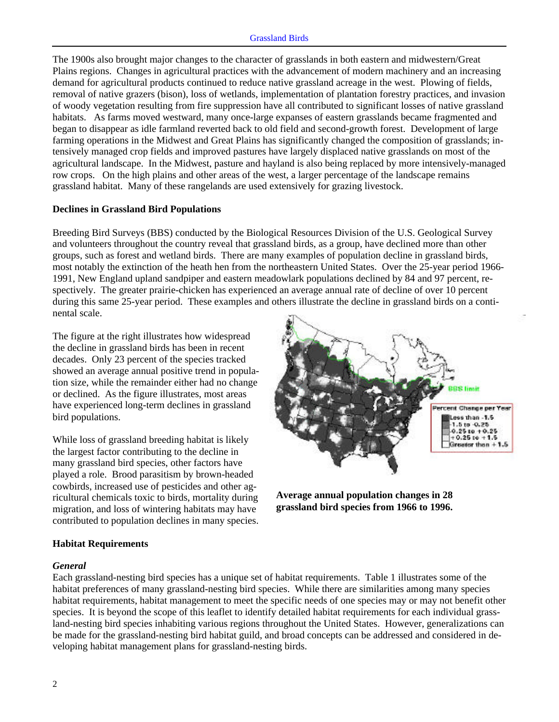# Grassland Birds

The 1900s also brought major changes to the character of grasslands in both eastern and midwestern/Great Plains regions. Changes in agricultural practices with the advancement of modern machinery and an increasing demand for agricultural products continued to reduce native grassland acreage in the west. Plowing of fields, removal of native grazers (bison), loss of wetlands, implementation of plantation forestry practices, and invasion of woody vegetation resulting from fire suppression have all contributed to significant losses of native grassland habitats. As farms moved westward, many once-large expanses of eastern grasslands became fragmented and began to disappear as idle farmland reverted back to old field and second-growth forest. Development of large farming operations in the Midwest and Great Plains has significantly changed the composition of grasslands; intensively managed crop fields and improved pastures have largely displaced native grasslands on most of the agricultural landscape. In the Midwest, pasture and hayland is also being replaced by more intensively-managed row crops. On the high plains and other areas of the west, a larger percentage of the landscape remains grassland habitat. Many of these rangelands are used extensively for grazing livestock.

# **Declines in Grassland Bird Populations**

Breeding Bird Surveys (BBS) conducted by the Biological Resources Division of the U.S. Geological Survey and volunteers throughout the country reveal that grassland birds, as a group, have declined more than other groups, such as forest and wetland birds. There are many examples of population decline in grassland birds, most notably the extinction of the heath hen from the northeastern United States. Over the 25-year period 1966- 1991, New England upland sandpiper and eastern meadowlark populations declined by 84 and 97 percent, respectively. The greater prairie-chicken has experienced an average annual rate of decline of over 10 percent during this same 25-year period. These examples and others illustrate the decline in grassland birds on a continental scale.

The figure at the right illustrates how widespread the decline in grassland birds has been in recent decades. Only 23 percent of the species tracked showed an average annual positive trend in population size, while the remainder either had no change or declined. As the figure illustrates, most areas have experienced long-term declines in grassland bird populations.

While loss of grassland breeding habitat is likely the largest factor contributing to the decline in many grassland bird species, other factors have played a role. Brood parasitism by brown-headed cowbirds, increased use of pesticides and other agricultural chemicals toxic to birds, mortality during **Average annual population changes in 28** migration, and loss of wintering habitats may have contributed to population declines in many species.



#### **Habitat Requirements**

#### *General*

Each grassland-nesting bird species has a unique set of habitat requirements. Table 1 illustrates some of the habitat preferences of many grassland-nesting bird species. While there are similarities among many species habitat requirements, habitat management to meet the specific needs of one species may or may not benefit other species. It is beyond the scope of this leaflet to identify detailed habitat requirements for each individual grassland-nesting bird species inhabiting various regions throughout the United States. However, generalizations can be made for the grassland-nesting bird habitat guild, and broad concepts can be addressed and considered in developing habitat management plans for grassland-nesting birds.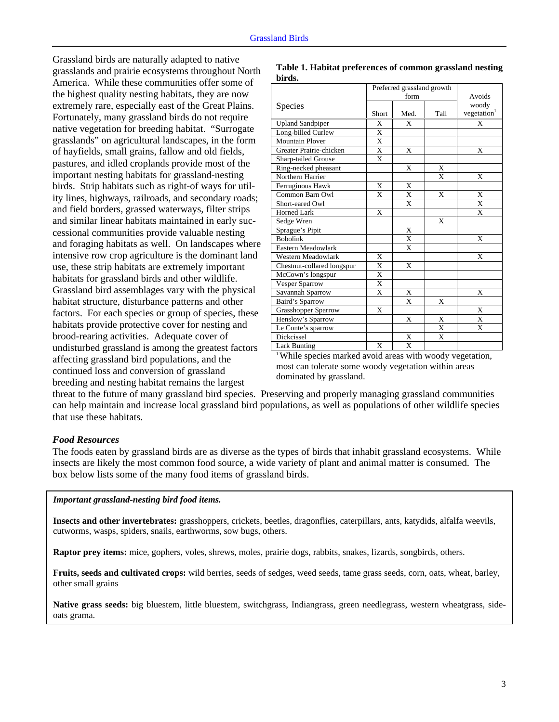Grassland birds are naturally adapted to native grasslands and prairie ecosystems throughout North America. While these communities offer some of the highest quality nesting habitats, they are now extremely rare, especially east of the Great Plains. Fortunately, many grassland birds do not require native vegetation for breeding habitat. "Surrogate grasslands" on agricultural landscapes, in the form of hayfields, small grains, fallow and old fields, pastures, and idled croplands provide most of the important nesting habitats for grassland-nesting birds. Strip habitats such as right-of ways for utility lines, highways, railroads, and secondary roads; and field borders, grassed waterways, filter strips and similar linear habitats maintained in early successional communities provide valuable nesting and foraging habitats as well. On landscapes where intensive row crop agriculture is the dominant land use, these strip habitats are extremely important habitats for grassland birds and other wildlife. Grassland bird assemblages vary with the physical habitat structure, disturbance patterns and other factors. For each species or group of species, these habitats provide protective cover for nesting and brood-rearing activities. Adequate cover of undisturbed grassland is among the greatest factors affecting grassland bird populations, and the continued loss and conversion of grassland breeding and nesting habitat remains the largest

#### **Table 1. Habitat preferences of common grassland nesting birds.**

|                            | Preferred grassland growth |      |              |                         |
|----------------------------|----------------------------|------|--------------|-------------------------|
|                            | form                       |      |              | Avoids                  |
| <b>Species</b>             |                            |      |              | woody                   |
|                            | Short                      | Med. | Tall         | vegetation <sup>1</sup> |
| <b>Upland Sandpiper</b>    | X                          | X    |              | X                       |
| Long-billed Curlew         | X                          |      |              |                         |
| <b>Mountain Plover</b>     | X                          |      |              |                         |
| Greater Prairie-chicken    | X                          | X    |              | X                       |
| Sharp-tailed Grouse        | $\mathbf{x}$               |      |              |                         |
| Ring-necked pheasant       |                            | X    | X            |                         |
| Northern Harrier           |                            |      | X            | X                       |
| Ferruginous Hawk           | X                          | X    |              |                         |
| Common Barn Owl            | X                          | X    | X            | X                       |
| Short-eared Owl            |                            | X    |              | X                       |
| <b>Horned Lark</b>         | X                          |      |              | X                       |
| Sedge Wren                 |                            |      | X            |                         |
| Sprague's Pipit            |                            | X    |              |                         |
| <b>Bobolink</b>            |                            | X    |              | X                       |
| Eastern Meadowlark         |                            | X    |              |                         |
| Western Meadowlark         | X                          |      |              | X                       |
| Chestnut-collared longspur | X                          | X    |              |                         |
| McCown's longspur          | X                          |      |              |                         |
| Vesper Sparrow             | X                          |      |              |                         |
| Savannah Sparrow           | X                          | X    |              | X                       |
| Baird's Sparrow            |                            | X    | X            |                         |
| <b>Grasshopper Sparrow</b> | X                          |      |              | X                       |
| Henslow's Sparrow          |                            | X    | X            | X                       |
| Le Conte's sparrow         |                            |      | X            | X                       |
| <b>Dickcissel</b>          |                            | X    | $\mathbf{x}$ |                         |
| <b>Lark Bunting</b>        | X                          | X    |              |                         |

1 While species marked avoid areas with woody vegetation, most can tolerate some woody vegetation within areas dominated by grassland.

threat to the future of many grassland bird species. Preserving and properly managing grassland communities can help maintain and increase local grassland bird populations, as well as populations of other wildlife species that use these habitats.

# *Food Resources*

The foods eaten by grassland birds are as diverse as the types of birds that inhabit grassland ecosystems. While insects are likely the most common food source, a wide variety of plant and animal matter is consumed. The box below lists some of the many food items of grassland birds.

*Important grassland-nesting bird food items.* 

**Insects and other invertebrates:** grasshoppers, crickets, beetles, dragonflies, caterpillars, ants, katydids, alfalfa weevils, cutworms, wasps, spiders, snails, earthworms, sow bugs, others.

**Raptor prey items:** mice, gophers, voles, shrews, moles, prairie dogs, rabbits, snakes, lizards, songbirds, others.

**Fruits, seeds and cultivated crops:** wild berries, seeds of sedges, weed seeds, tame grass seeds, corn, oats, wheat, barley, other small grains

**Native grass seeds:** big bluestem, little bluestem, switchgrass, Indiangrass, green needlegrass, western wheatgrass, sideoats grama.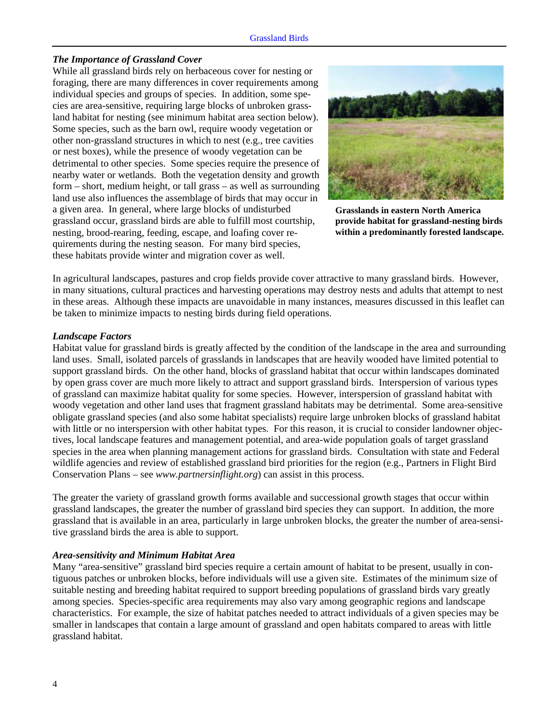# *The Importance of Grassland Cover*

While all grassland birds rely on herbaceous cover for nesting or foraging, there are many differences in cover requirements among individual species and groups of species. In addition, some species are area-sensitive, requiring large blocks of unbroken grassland habitat for nesting (see minimum habitat area section below). Some species, such as the barn owl, require woody vegetation or other non-grassland structures in which to nest (e.g., tree cavities or nest boxes), while the presence of woody vegetation can be detrimental to other species. Some species require the presence of nearby water or wetlands. Both the vegetation density and growth form – short, medium height, or tall grass – as well as surrounding land use also influences the assemblage of birds that may occur in a given area. In general, where large blocks of undisturbed grassland occur, grassland birds are able to fulfill most courtship, nesting, brood-rearing, feeding, escape, and loafing cover requirements during the nesting season. For many bird species, these habitats provide winter and migration cover as well.



**Grasslands in eastern North America provide habitat for grassland-nesting birds within a predominantly forested landscape.** 

In agricultural landscapes, pastures and crop fields provide cover attractive to many grassland birds. However, in many situations, cultural practices and harvesting operations may destroy nests and adults that attempt to nest in these areas. Although these impacts are unavoidable in many instances, measures discussed in this leaflet can be taken to minimize impacts to nesting birds during field operations.

# *Landscape Factors*

Habitat value for grassland birds is greatly affected by the condition of the landscape in the area and surrounding land uses. Small, isolated parcels of grasslands in landscapes that are heavily wooded have limited potential to support grassland birds. On the other hand, blocks of grassland habitat that occur within landscapes dominated by open grass cover are much more likely to attract and support grassland birds. Interspersion of various types of grassland can maximize habitat quality for some species. However, interspersion of grassland habitat with woody vegetation and other land uses that fragment grassland habitats may be detrimental. Some area-sensitive obligate grassland species (and also some habitat specialists) require large unbroken blocks of grassland habitat with little or no interspersion with other habitat types. For this reason, it is crucial to consider landowner objectives, local landscape features and management potential, and area-wide population goals of target grassland species in the area when planning management actions for grassland birds. Consultation with state and Federal wildlife agencies and review of established grassland bird priorities for the region (e.g., Partners in Flight Bird Conservation Plans – see *www.partnersinflight.org*) can assist in this process.

The greater the variety of grassland growth forms available and successional growth stages that occur within grassland landscapes, the greater the number of grassland bird species they can support. In addition, the more grassland that is available in an area, particularly in large unbroken blocks, the greater the number of area-sensitive grassland birds the area is able to support.

#### *Area-sensitivity and Minimum Habitat Area*

Many "area-sensitive" grassland bird species require a certain amount of habitat to be present, usually in contiguous patches or unbroken blocks, before individuals will use a given site. Estimates of the minimum size of suitable nesting and breeding habitat required to support breeding populations of grassland birds vary greatly among species. Species-specific area requirements may also vary among geographic regions and landscape characteristics. For example, the size of habitat patches needed to attract individuals of a given species may be smaller in landscapes that contain a large amount of grassland and open habitats compared to areas with little grassland habitat.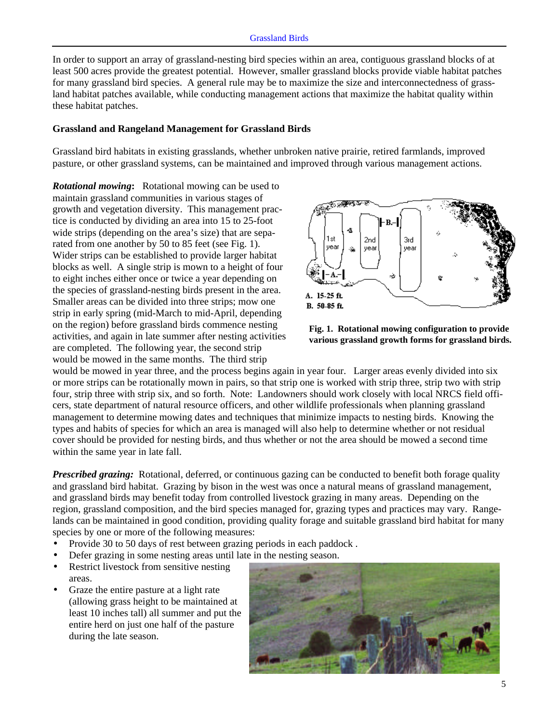In order to support an array of grassland-nesting bird species within an area, contiguous grassland blocks of at least 500 acres provide the greatest potential. However, smaller grassland blocks provide viable habitat patches for many grassland bird species. A general rule may be to maximize the size and interconnectedness of grassland habitat patches available, while conducting management actions that maximize the habitat quality within these habitat patches.

#### **Grassland and Rangeland Management for Grassland Birds**

Grassland bird habitats in existing grasslands, whether unbroken native prairie, retired farmlands, improved pasture, or other grassland systems, can be maintained and improved through various management actions.

*Rotational mowing***:** Rotational mowing can be used to maintain grassland communities in various stages of growth and vegetation diversity. This management practice is conducted by dividing an area into 15 to 25-foot wide strips (depending on the area's size) that are separated from one another by 50 to 85 feet (see Fig. 1). Wider strips can be established to provide larger habitat blocks as well. A single strip is mown to a height of four to eight inches either once or twice a year depending on the species of grassland-nesting birds present in the area. Smaller areas can be divided into three strips; mow one strip in early spring (mid-March to mid-April, depending on the region) before grassland birds commence nesting<br>activities, and again in late summer after nesting activities<br>are completed. The following year, the second strip<br>are completed. The following year, the second strip would be mowed in the same months. The third strip





would be mowed in year three, and the process begins again in year four. Larger areas evenly divided into six or more strips can be rotationally mown in pairs, so that strip one is worked with strip three, strip two with strip four, strip three with strip six, and so forth. Note: Landowners should work closely with local NRCS field officers, state department of natural resource officers, and other wildlife professionals when planning grassland management to determine mowing dates and techniques that minimize impacts to nesting birds. Knowing the types and habits of species for which an area is managed will also help to determine whether or not residual cover should be provided for nesting birds, and thus whether or not the area should be mowed a second time within the same year in late fall.

*Prescribed grazing:* Rotational, deferred, or continuous gazing can be conducted to benefit both forage quality and grassland bird habitat. Grazing by bison in the west was once a natural means of grassland management, and grassland birds may benefit today from controlled livestock grazing in many areas. Depending on the region, grassland composition, and the bird species managed for, grazing types and practices may vary. Rangelands can be maintained in good condition, providing quality forage and suitable grassland bird habitat for many species by one or more of the following measures:

- Provide 30 to 50 days of rest between grazing periods in each paddock .
- Defer grazing in some nesting areas until late in the nesting season.
- Restrict livestock from sensitive nesting areas.
- Graze the entire pasture at a light rate (allowing grass height to be maintained at least 10 inches tall) all summer and put the entire herd on just one half of the pasture during the late season.

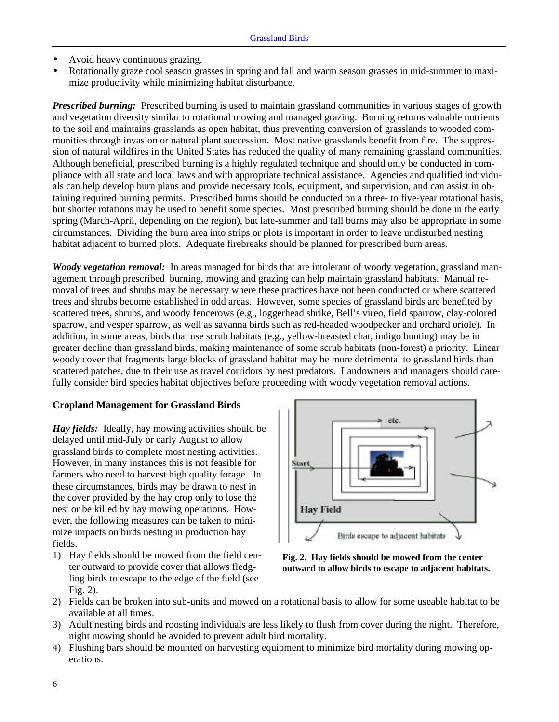- Avoid heavy continuous grazing.
- Rotationally graze cool season grasses in spring and fall and warm season grasses in mid-summer to maximize productivity while minimizing habitat disturbance.

*Prescribed burning:* Prescribed burning is used to maintain grassland communities in various stages of growth and vegetation diversity similar to rotational mowing and managed grazing. Burning returns valuable nutrients to the soil and maintains grasslands as open habitat, thus preventing conversion of grasslands to wooded communities through invasion or natural plant succession. Most native grasslands benefit from fire. The suppression of natural wildfires in the United States has reduced the quality of many remaining grassland communities. Although beneficial, prescribed burning is a highly regulated technique and should only be conducted in compliance with all state and local laws and with appropriate technical assistance. Agencies and qualified individuals can help develop burn plans and provide necessary tools, equipment, and supervision, and can assist in obtaining required burning permits. Prescribed burns should be conducted on a three- to five-year rotational basis, but shorter rotations may be used to benefit some species. Most prescribed burning should be done in the early spring (March-April, depending on the region), but late-summer and fall burns may also be appropriate in some circumstances. Dividing the burn area into strips or plots is important in order to leave undisturbed nesting habitat adjacent to burned plots. Adequate firebreaks should be planned for prescribed burn areas.

*Woody vegetation removal:* In areas managed for birds that are intolerant of woody vegetation, grassland management through prescribed burning, mowing and grazing can help maintain grassland habitats. Manual removal of trees and shrubs may be necessary where these practices have not been conducted or where scattered trees and shrubs become established in odd areas. However, some species of grassland birds are benefited by scattered trees, shrubs, and woody fencerows (e.g., loggerhead shrike, Bell's vireo, field sparrow, clay-colored sparrow, and vesper sparrow, as well as savanna birds such as red-headed woodpecker and orchard oriole). In addition, in some areas, birds that use scrub habitats (e.g., yellow-breasted chat, indigo bunting) may be in greater decline than grassland birds, making maintenance of some scrub habitats (non-forest) a priority. Linear woody cover that fragments large blocks of grassland habitat may be more detrimental to grassland birds than scattered patches, due to their use as travel corridors by nest predators. Landowners and managers should carefully consider bird species habitat objectives before proceeding with woody vegetation removal actions.

# **Cropland Management for Grassland Birds**

*Hay fields:* Ideally, hay mowing activities should be delayed until mid-July or early August to allow grassland birds to complete most nesting activities. However, in many instances this is not feasible for farmers who need to harvest high quality forage. In these circumstances, birds may be drawn to nest in the cover provided by the hay crop only to lose the nest or be killed by hay mowing operations. However, the following measures can be taken to minimize impacts on birds nesting in production hay fields.

1) Hay fields should be mowed from the field cen- **Fig. 2. Hay fields should be mowed from the center**  ling birds to escape to the edge of the field (see Fig. 2).



outward to allow birds to escape to adjacent habitats.

- 2) Fields can be broken into sub-units and mowed on a rotational basis to allow for some useable habitat to be available at all times.
- 3) Adult nesting birds and roosting individuals are less likely to flush from cover during the night. Therefore, night mowing should be avoided to prevent adult bird mortality.
- 4) Flushing bars should be mounted on harvesting equipment to minimize bird mortality during mowing operations.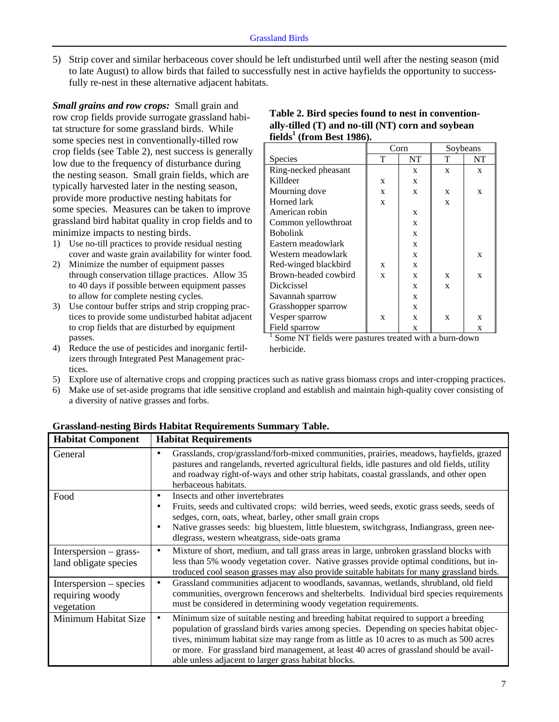5) Strip cover and similar herbaceous cover should be left undisturbed until well after the nesting season (mid to late August) to allow birds that failed to successfully nest in active hayfields the opportunity to successfully re-nest in these alternative adjacent habitats.

*Small grains and row crops:* Small grain and row crop fields provide surrogate grassland habitat structure for some grassland birds. While some species nest in conventionally-tilled row crop fields (see Table 2), nest success is generally low due to the frequency of disturbance during the nesting season. Small grain fields, which are typically harvested later in the nesting season, provide more productive nesting habitats for some species. Measures can be taken to improve grassland bird habitat quality in crop fields and to minimize impacts to nesting birds.

- 1) Use no-till practices to provide residual nesting cover and waste grain availability for winter food.
- 2) Minimize the number of equipment passes through conservation tillage practices. Allow 35 to 40 days if possible between equipment passes to allow for complete nesting cycles.
- 3) Use contour buffer strips and strip cropping practices to provide some undisturbed habitat adjacent to crop fields that are disturbed by equipment passes.
- 4) Reduce the use of pesticides and inorganic fertilizers through Integrated Pest Management practices.

# **Table 2. Bird species found to nest in conventionally-tilled (T) and no-till (NT) corn and soybean fields1 (from Best 1986).**

|                      | Corn |    | Soybeans |    |
|----------------------|------|----|----------|----|
| Species              | T    | NT | T        | NT |
| Ring-necked pheasant |      | X  | X        | X  |
| Killdeer             | X    | X  |          |    |
| Mourning dove        | X    | X  | X        | X  |
| Horned lark          | X    |    | X        |    |
| American robin       |      | X  |          |    |
| Common yellowthroat  |      | X  |          |    |
| <b>Bobolink</b>      |      | X  |          |    |
| Eastern meadowlark   |      | X  |          |    |
| Western meadowlark   |      | X  |          | X  |
| Red-winged blackbird | X    | X  |          |    |
| Brown-headed cowbird | X    | X  | X        | X  |
| <b>Dickcissel</b>    |      | X  | X        |    |
| Savannah sparrow     |      | X  |          |    |
| Grasshopper sparrow  |      | X  |          |    |
| Vesper sparrow       | X    | X  | X        | X  |
| Field sparrow        |      | X  |          | X  |

1 Some NT fields were pastures treated with a burn-down herbicide.

- 5) Explore use of alternative crops and cropping practices such as native grass biomass crops and inter-cropping practices.
- 6) Make use of set-aside programs that idle sensitive cropland and establish and maintain high-quality cover consisting of a diversity of native grasses and forbs.

| <b>Habitat Component</b>                                 | <b>Habitat Requirements</b>                                                                                                                                                                                                                                                                                                                                                                                                    |
|----------------------------------------------------------|--------------------------------------------------------------------------------------------------------------------------------------------------------------------------------------------------------------------------------------------------------------------------------------------------------------------------------------------------------------------------------------------------------------------------------|
| General                                                  | Grasslands, crop/grassland/forb-mixed communities, prairies, meadows, hayfields, grazed<br>pastures and rangelands, reverted agricultural fields, idle pastures and old fields, utility<br>and roadway right-of-ways and other strip habitats, coastal grasslands, and other open<br>herbaceous habitats.                                                                                                                      |
| Food                                                     | Insects and other invertebrates<br>Fruits, seeds and cultivated crops: wild berries, weed seeds, exotic grass seeds, seeds of<br>sedges, corn, oats, wheat, barley, other small grain crops<br>Native grasses seeds: big bluestem, little bluestem, switchgrass, Indiangrass, green nee-<br>dlegrass, western wheatgrass, side-oats grama                                                                                      |
| Interspersion $-$ grass-<br>land obligate species        | Mixture of short, medium, and tall grass areas in large, unbroken grassland blocks with<br>$\bullet$<br>less than 5% woody vegetation cover. Native grasses provide optimal conditions, but in-<br>troduced cool season grasses may also provide suitable habitats for many grassland birds.                                                                                                                                   |
| Interspersion – species<br>requiring woody<br>vegetation | Grassland communities adjacent to woodlands, savannas, wetlands, shrubland, old field<br>communities, overgrown fencerows and shelterbelts. Individual bird species requirements<br>must be considered in determining woody vegetation requirements.                                                                                                                                                                           |
| Minimum Habitat Size                                     | Minimum size of suitable nesting and breeding habitat required to support a breeding<br>population of grassland birds varies among species. Depending on species habitat objec-<br>tives, minimum habitat size may range from as little as 10 acres to as much as 500 acres<br>or more. For grassland bird management, at least 40 acres of grassland should be avail-<br>able unless adjacent to larger grass habitat blocks. |

# **Grassland-nesting Birds Habitat Requirements Summary Table.**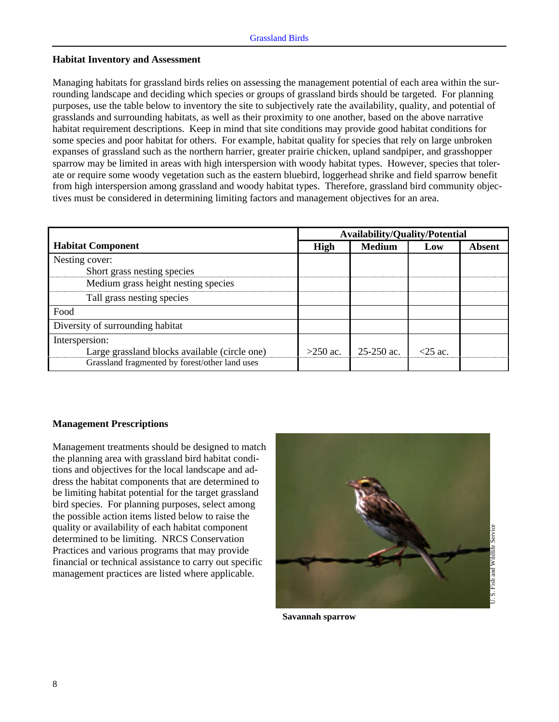#### **Habitat Inventory and Assessment**

Managing habitats for grassland birds relies on assessing the management potential of each area within the surrounding landscape and deciding which species or groups of grassland birds should be targeted. For planning purposes, use the table below to inventory the site to subjectively rate the availability, quality, and potential of grasslands and surrounding habitats, as well as their proximity to one another, based on the above narrative habitat requirement descriptions. Keep in mind that site conditions may provide good habitat conditions for some species and poor habitat for others. For example, habitat quality for species that rely on large unbroken expanses of grassland such as the northern harrier, greater prairie chicken, upland sandpiper, and grasshopper sparrow may be limited in areas with high interspersion with woody habitat types. However, species that tolerate or require some woody vegetation such as the eastern bluebird, loggerhead shrike and field sparrow benefit from high interspersion among grassland and woody habitat types. Therefore, grassland bird community objectives must be considered in determining limiting factors and management objectives for an area.

|                                                | <b>Availability/Quality/Potential</b> |               |              |        |
|------------------------------------------------|---------------------------------------|---------------|--------------|--------|
| <b>Habitat Component</b>                       | <b>High</b>                           | <b>Medium</b> | Low          | Absent |
| Nesting cover:                                 |                                       |               |              |        |
| Short grass nesting species                    |                                       |               |              |        |
| Medium grass height nesting species            |                                       |               |              |        |
| Tall grass nesting species                     |                                       |               |              |        |
| Food                                           |                                       |               |              |        |
| Diversity of surrounding habitat               |                                       |               |              |        |
| Interspersion:                                 |                                       |               |              |        |
| Large grassland blocks available (circle one)  | $>250$ ac.                            | 25-250 ac     | $\leq$ 25 ac |        |
| Grassland fragmented by forest/other land uses |                                       |               |              |        |

#### **Management Prescriptions**

Management treatments should be designed to match the planning area with grassland bird habitat conditions and objectives for the local landscape and address the habitat components that are determined to be limiting habitat potential for the target grassland bird species. For planning purposes, select among the possible action items listed below to raise the quality or availability of each habitat component determined to be limiting. NRCS ConservationPractices and various programs that may provide financial or technical assistance to carry out specific management practices are listed where applicable.



**Savannah sparrow**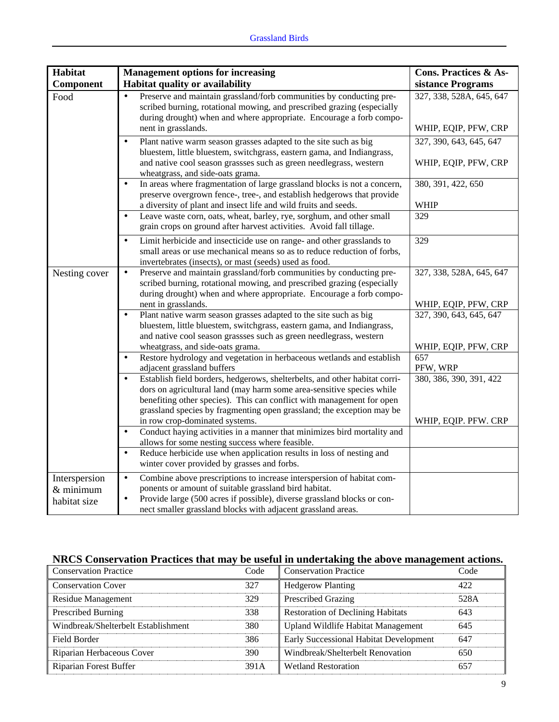| Habitat                                    | <b>Management options for increasing</b>                                                                                                                                                                                                                                                                           | <b>Cons. Practices &amp; As-</b>                 |
|--------------------------------------------|--------------------------------------------------------------------------------------------------------------------------------------------------------------------------------------------------------------------------------------------------------------------------------------------------------------------|--------------------------------------------------|
| Component                                  | Habitat quality or availability                                                                                                                                                                                                                                                                                    | sistance Programs                                |
| Food                                       | Preserve and maintain grassland/forb communities by conducting pre-<br>scribed burning, rotational mowing, and prescribed grazing (especially<br>during drought) when and where appropriate. Encourage a forb compo-<br>nent in grasslands.                                                                        | 327, 338, 528A, 645, 647<br>WHIP, EQIP, PFW, CRP |
|                                            | Plant native warm season grasses adapted to the site such as big<br>$\bullet$<br>bluestem, little bluestem, switchgrass, eastern gama, and Indiangrass,<br>and native cool season grassses such as green needlegrass, western<br>wheatgrass, and side-oats grama.                                                  | 327, 390, 643, 645, 647<br>WHIP, EQIP, PFW, CRP  |
|                                            | In areas where fragmentation of large grassland blocks is not a concern,<br>preserve overgrown fence-, tree-, and establish hedgerows that provide<br>a diversity of plant and insect life and wild fruits and seeds.                                                                                              | 380, 391, 422, 650<br><b>WHIP</b>                |
|                                            | Leave waste corn, oats, wheat, barley, rye, sorghum, and other small<br>$\bullet$<br>grain crops on ground after harvest activities. Avoid fall tillage.                                                                                                                                                           | 329                                              |
|                                            | Limit herbicide and insecticide use on range- and other grasslands to<br>$\bullet$<br>small areas or use mechanical means so as to reduce reduction of forbs,<br>invertebrates (insects), or mast (seeds) used as food.                                                                                            | 329                                              |
| Nesting cover                              | Preserve and maintain grassland/forb communities by conducting pre-<br>$\bullet$<br>scribed burning, rotational mowing, and prescribed grazing (especially<br>during drought) when and where appropriate. Encourage a forb compo-                                                                                  | 327, 338, 528A, 645, 647                         |
|                                            | nent in grasslands.                                                                                                                                                                                                                                                                                                | WHIP, EQIP, PFW, CRP                             |
|                                            | Plant native warm season grasses adapted to the site such as big<br>bluestem, little bluestem, switchgrass, eastern gama, and Indiangrass,<br>and native cool season grassses such as green needlegrass, western                                                                                                   | 327, 390, 643, 645, 647                          |
|                                            | wheatgrass, and side-oats grama.                                                                                                                                                                                                                                                                                   | WHIP, EQIP, PFW, CRP                             |
|                                            | Restore hydrology and vegetation in herbaceous wetlands and establish<br>$\bullet$<br>adjacent grassland buffers                                                                                                                                                                                                   | 657<br>PFW, WRP                                  |
|                                            | Establish field borders, hedgerows, shelterbelts, and other habitat corri-<br>$\bullet$<br>dors on agricultural land (may harm some area-sensitive species while<br>benefiting other species). This can conflict with management for open<br>grassland species by fragmenting open grassland; the exception may be | 380, 386, 390, 391, 422                          |
|                                            | in row crop-dominated systems.                                                                                                                                                                                                                                                                                     | WHIP, EQIP. PFW. CRP                             |
|                                            | Conduct haying activities in a manner that minimizes bird mortality and<br>allows for some nesting success where feasible.                                                                                                                                                                                         |                                                  |
|                                            | Reduce herbicide use when application results in loss of nesting and<br>$\bullet$<br>winter cover provided by grasses and forbs.                                                                                                                                                                                   |                                                  |
| Interspersion<br>& minimum<br>habitat size | Combine above prescriptions to increase interspersion of habitat com-<br>$\bullet$<br>ponents or amount of suitable grassland bird habitat.<br>Provide large (500 acres if possible), diverse grassland blocks or con-<br>$\bullet$<br>nect smaller grassland blocks with adjacent grassland areas.                |                                                  |

# **NRCS Conservation Practices that may be useful in undertaking the above management actions.**

| <b>Conservation Practice</b>        | Code | <b>Conservation Practice</b>             | Code |
|-------------------------------------|------|------------------------------------------|------|
| <b>Conservation Cover</b>           | 327  | <b>Hedgerow Planting</b>                 | 422  |
| Residue Management                  | 329  | <b>Prescribed Grazing</b>                | 528A |
| Prescribed Burning                  | 338  | <b>Restoration of Declining Habitats</b> | 643  |
| Windbreak/Shelterbelt Establishment | 380  | Upland Wildlife Habitat Management       | 645  |
| Field Border                        | 386  | Early Successional Habitat Development   | 647  |
| Riparian Herbaceous Cover           | 390  | Windbreak/Shelterbelt Renovation         | 650  |
| <b>Riparian Forest Buffer</b>       | 391A | <b>Wetland Restoration</b>               |      |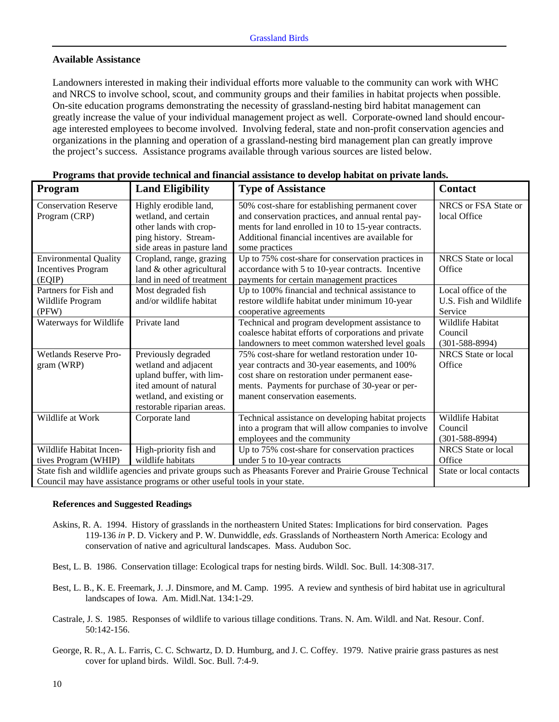# **Available Assistance**

Landowners interested in making their individual efforts more valuable to the community can work with WHC and NRCS to involve school, scout, and community groups and their families in habitat projects when possible. On-site education programs demonstrating the necessity of grassland-nesting bird habitat management can greatly increase the value of your individual management project as well. Corporate-owned land should encourage interested employees to become involved. Involving federal, state and non-profit conservation agencies and organizations in the planning and operation of a grassland-nesting bird management plan can greatly improve the project's success. Assistance programs available through various sources are listed below.

| Program                                                                                                                                                                                 | <b>Land Eligibility</b>                                                                                                                                     | <b>Type of Assistance</b>                                                                                                                                                                                                                  | <b>Contact</b>                                           |
|-----------------------------------------------------------------------------------------------------------------------------------------------------------------------------------------|-------------------------------------------------------------------------------------------------------------------------------------------------------------|--------------------------------------------------------------------------------------------------------------------------------------------------------------------------------------------------------------------------------------------|----------------------------------------------------------|
| <b>Conservation Reserve</b><br>Program (CRP)                                                                                                                                            | Highly erodible land,<br>wetland, and certain<br>other lands with crop-<br>ping history. Stream-<br>side areas in pasture land                              | 50% cost-share for establishing permanent cover<br>and conservation practices, and annual rental pay-<br>ments for land enrolled in 10 to 15-year contracts.<br>Additional financial incentives are available for<br>some practices        | NRCS or FSA State or<br>local Office                     |
| <b>Environmental Quality</b><br><b>Incentives Program</b><br>(EQIP)                                                                                                                     | Cropland, range, grazing<br>land & other agricultural<br>land in need of treatment                                                                          | Up to 75% cost-share for conservation practices in<br>accordance with 5 to 10-year contracts. Incentive<br>payments for certain management practices                                                                                       | NRCS State or local<br>Office                            |
| Partners for Fish and<br>Wildlife Program<br>(PFW)                                                                                                                                      | Most degraded fish<br>and/or wildlife habitat                                                                                                               | Up to 100% financial and technical assistance to<br>restore wildlife habitat under minimum 10-year<br>cooperative agreements                                                                                                               | Local office of the<br>U.S. Fish and Wildlife<br>Service |
| Waterways for Wildlife                                                                                                                                                                  | Private land                                                                                                                                                | Technical and program development assistance to<br>coalesce habitat efforts of corporations and private<br>landowners to meet common watershed level goals                                                                                 | Wildlife Habitat<br>Council<br>$(301 - 588 - 8994)$      |
| <b>Wetlands Reserve Pro-</b><br>gram (WRP)                                                                                                                                              | Previously degraded<br>wetland and adjacent<br>upland buffer, with lim-<br>ited amount of natural<br>wetland, and existing or<br>restorable riparian areas. | 75% cost-share for wetland restoration under 10-<br>year contracts and 30-year easements, and 100%<br>cost share on restoration under permanent ease-<br>ments. Payments for purchase of 30-year or per-<br>manent conservation easements. | NRCS State or local<br>Office                            |
| Wildlife at Work                                                                                                                                                                        | Corporate land                                                                                                                                              | Technical assistance on developing habitat projects<br>into a program that will allow companies to involve<br>employees and the community                                                                                                  | Wildlife Habitat<br>Council<br>$(301 - 588 - 8994)$      |
| Wildlife Habitat Incen-<br>tives Program (WHIP)                                                                                                                                         | High-priority fish and<br>wildlife habitats                                                                                                                 | Up to 75% cost-share for conservation practices<br>under 5 to 10-year contracts                                                                                                                                                            | NRCS State or local<br>Office                            |
| State fish and wildlife agencies and private groups such as Pheasants Forever and Prairie Grouse Technical<br>Council may have assistance programs or other useful tools in your state. | State or local contacts                                                                                                                                     |                                                                                                                                                                                                                                            |                                                          |

#### **Programs that provide technical and financial assistance to develop habitat on private lands.**

#### **References and Suggested Readings**

- Askins, R. A. 1994. History of grasslands in the northeastern United States: Implications for bird conservation. Pages 119-136 *in* P. D. Vickery and P. W. Dunwiddle, *eds*. Grasslands of Northeastern North America: Ecology and conservation of native and agricultural landscapes. Mass. Audubon Soc.
- Best, L. B. 1986. Conservation tillage: Ecological traps for nesting birds. Wildl. Soc. Bull. 14:308-317.
- Best, L. B., K. E. Freemark, J. .J. Dinsmore, and M. Camp. 1995. A review and synthesis of bird habitat use in agricultural landscapes of Iowa. Am. Midl.Nat. 134:1-29.
- Castrale, J. S. 1985. Responses of wildlife to various tillage conditions. Trans. N. Am. Wildl. and Nat. Resour. Conf. 50:142-156.
- George, R. R., A. L. Farris, C. C. Schwartz, D. D. Humburg, and J. C. Coffey. 1979. Native prairie grass pastures as nest cover for upland birds. Wildl. Soc. Bull. 7:4-9.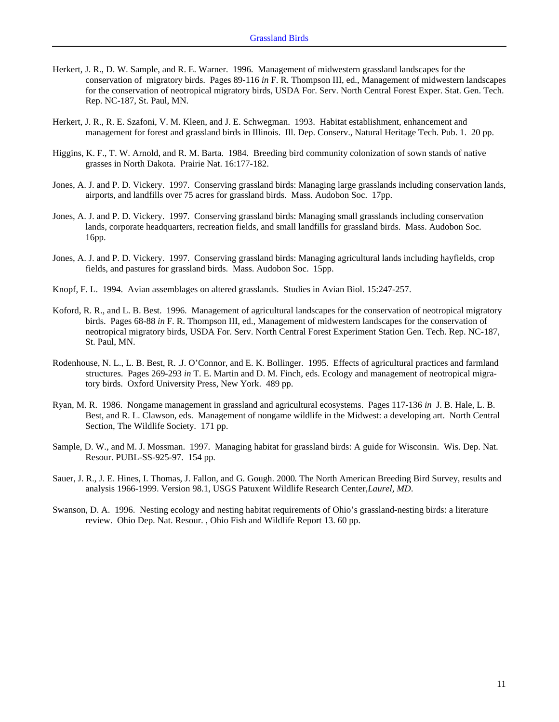- Herkert, J. R., D. W. Sample, and R. E. Warner. 1996. Management of midwestern grassland landscapes for the conservation of migratory birds. Pages 89-116 *in* F. R. Thompson III, ed., Management of midwestern landscapes for the conservation of neotropical migratory birds, USDA For. Serv. North Central Forest Exper. Stat. Gen. Tech. Rep. NC-187, St. Paul, MN.
- Herkert, J. R., R. E. Szafoni, V. M. Kleen, and J. E. Schwegman. 1993. Habitat establishment, enhancement and management for forest and grassland birds in Illinois. Ill. Dep. Conserv., Natural Heritage Tech. Pub. 1. 20 pp.
- Higgins, K. F., T. W. Arnold, and R. M. Barta. 1984. Breeding bird community colonization of sown stands of native grasses in North Dakota. Prairie Nat. 16:177-182.
- Jones, A. J. and P. D. Vickery. 1997. Conserving grassland birds: Managing large grasslands including conservation lands, airports, and landfills over 75 acres for grassland birds. Mass. Audobon Soc. 17pp.
- Jones, A. J. and P. D. Vickery. 1997. Conserving grassland birds: Managing small grasslands including conservation lands, corporate headquarters, recreation fields, and small landfills for grassland birds. Mass. Audobon Soc. 16pp.
- Jones, A. J. and P. D. Vickery. 1997. Conserving grassland birds: Managing agricultural lands including hayfields, crop fields, and pastures for grassland birds. Mass. Audobon Soc. 15pp.
- Knopf, F. L. 1994. Avian assemblages on altered grasslands. Studies in Avian Biol. 15:247-257.
- Koford, R. R., and L. B. Best. 1996. Management of agricultural landscapes for the conservation of neotropical migratory birds. Pages 68-88 *in* F. R. Thompson III, ed., Management of midwestern landscapes for the conservation of neotropical migratory birds, USDA For. Serv. North Central Forest Experiment Station Gen. Tech. Rep. NC-187, St. Paul, MN.
- Rodenhouse, N. L., L. B. Best, R. .J. O'Connor, and E. K. Bollinger. 1995. Effects of agricultural practices and farmland structures. Pages 269-293 *in* T. E. Martin and D. M. Finch, eds. Ecology and management of neotropical migratory birds. Oxford University Press, New York. 489 pp.
- Ryan, M. R. 1986. Nongame management in grassland and agricultural ecosystems. Pages 117-136 *in* J. B. Hale, L. B. Best, and R. L. Clawson, eds. Management of nongame wildlife in the Midwest: a developing art. North Central Section, The Wildlife Society. 171 pp.
- Sample, D. W., and M. J. Mossman. 1997. Managing habitat for grassland birds: A guide for Wisconsin. Wis. Dep. Nat. Resour. PUBL-SS-925-97. 154 pp.
- Sauer, J. R., J. E. Hines, I. Thomas, J. Fallon, and G. Gough. 2000*.* The North American Breeding Bird Survey, results and analysis 1966-1999. Version 98.1, USGS Patuxent Wildlife Research Center*,Laurel, MD*.
- Swanson, D. A. 1996. Nesting ecology and nesting habitat requirements of Ohio's grassland-nesting birds: a literature review. Ohio Dep. Nat. Resour. , Ohio Fish and Wildlife Report 13. 60 pp.